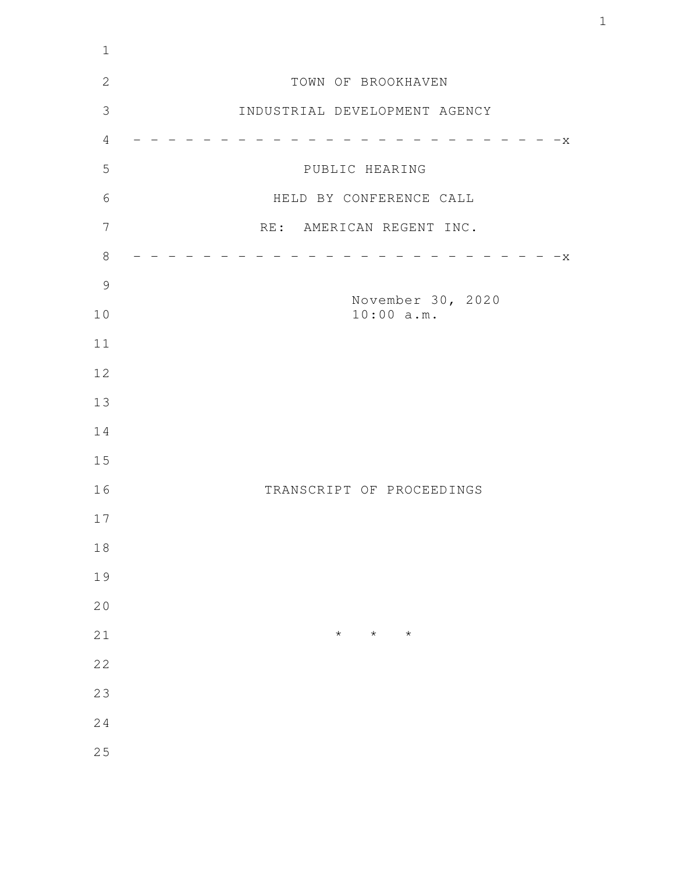| $\mathbf 1$    |                                 |
|----------------|---------------------------------|
| $\mathbf{2}$   | TOWN OF BROOKHAVEN              |
| $\mathcal{S}$  | INDUSTRIAL DEVELOPMENT AGENCY   |
| $\overline{4}$ | $-x$                            |
| 5              | PUBLIC HEARING                  |
| 6              | HELD BY CONFERENCE CALL         |
| 7              | RE: AMERICAN REGENT INC.        |
| $8\,$          | $-x$                            |
| $\mathcal{G}$  |                                 |
| 10             | November 30, 2020<br>10:00 a.m. |
| 11             |                                 |
| 12             |                                 |
| 13             |                                 |
| 14             |                                 |
| 15             |                                 |
| 16             | TRANSCRIPT OF PROCEEDINGS       |
| 17             |                                 |
| $1\,8$         |                                 |
| 19             |                                 |
| 20             |                                 |
| 21             | $\star$<br>$\star$<br>$\star$   |
| 22             |                                 |
| 23             |                                 |
| 24             |                                 |
| 25             |                                 |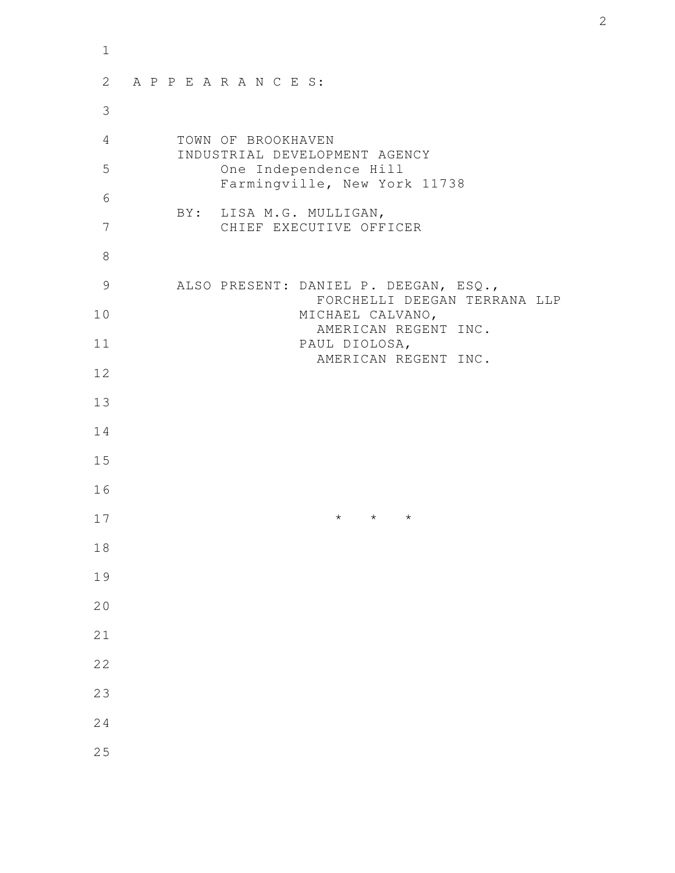| $\mathbf{1}$ |                                                                       |
|--------------|-----------------------------------------------------------------------|
| 2            | APPEARANCES:                                                          |
| 3            |                                                                       |
| 4            | TOWN OF BROOKHAVEN<br>INDUSTRIAL DEVELOPMENT AGENCY                   |
| 5            | One Independence Hill<br>Farmingville, New York 11738                 |
| 6            |                                                                       |
| 7            | BY: LISA M.G. MULLIGAN,<br>CHIEF EXECUTIVE OFFICER                    |
| 8            |                                                                       |
| 9            | ALSO PRESENT: DANIEL P. DEEGAN, ESQ.,<br>FORCHELLI DEEGAN TERRANA LLP |
| 10           | MICHAEL CALVANO,<br>AMERICAN REGENT INC.                              |
| 11           | PAUL DIOLOSA,<br>AMERICAN REGENT INC.                                 |
| 12           |                                                                       |
| 13           |                                                                       |
| 14           |                                                                       |
| 15           |                                                                       |
| 16           |                                                                       |
| 17           | $\star$<br>$\star$<br>$^\star$                                        |
| 18           |                                                                       |
| 19           |                                                                       |
| 20           |                                                                       |
| 21           |                                                                       |
| 22           |                                                                       |
| 23           |                                                                       |
| 24           |                                                                       |
| 25           |                                                                       |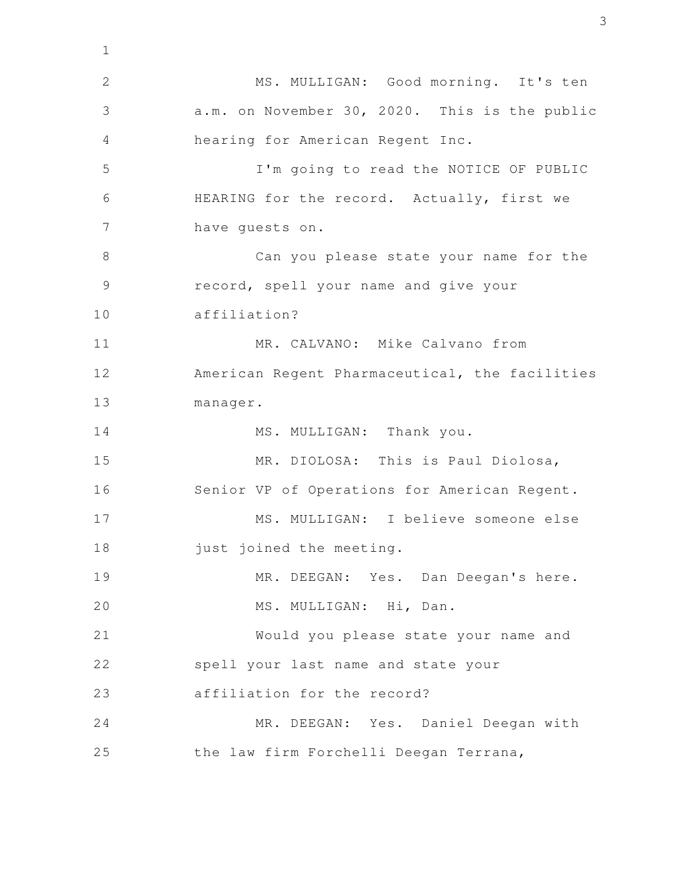MS. MULLIGAN: Good morning. It's ten a.m. on November 30, 2020. This is the public hearing for American Regent Inc. I'm going to read the NOTICE OF PUBLIC HEARING for the record. Actually, first we have guests on. Can you please state your name for the record, spell your name and give your affiliation? MR. CALVANO: Mike Calvano from American Regent Pharmaceutical, the facilities manager. MS. MULLIGAN: Thank you. MR. DIOLOSA: This is Paul Diolosa, Senior VP of Operations for American Regent. MS. MULLIGAN: I believe someone else just joined the meeting. MR. DEEGAN: Yes. Dan Deegan's here. MS. MULLIGAN: Hi, Dan. Would you please state your name and spell your last name and state your affiliation for the record? MR. DEEGAN: Yes. Daniel Deegan with the law firm Forchelli Deegan Terrana, 1 2 3 4 5 6 7 8 9 10 11 12 13 14 15 16 17 18 19 20 21 22 23 24 25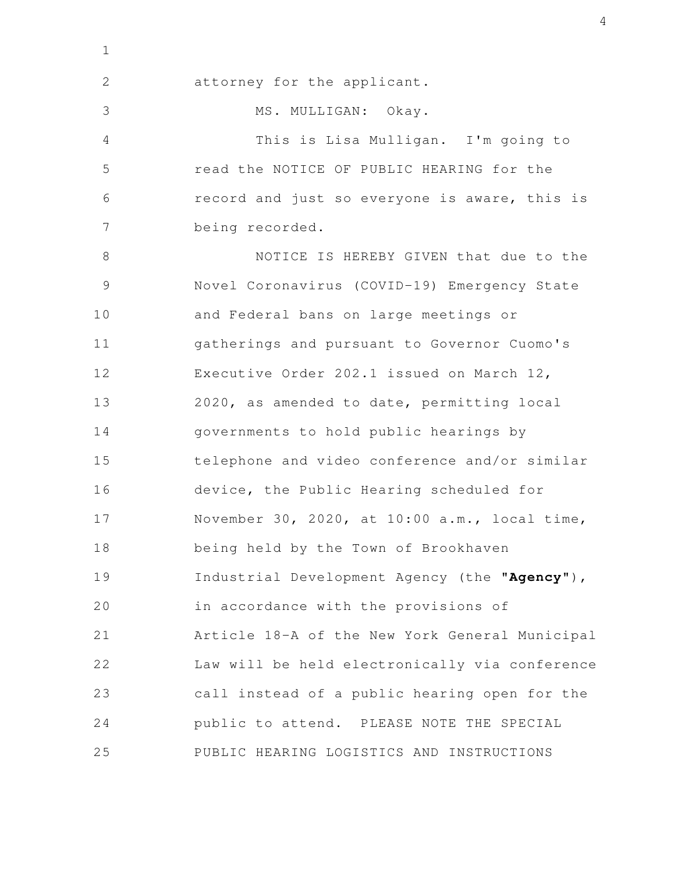attorney for the applicant. MS. MULLIGAN: Okay. This is Lisa Mulligan. I'm going to read the NOTICE OF PUBLIC HEARING for the record and just so everyone is aware, this is being recorded. NOTICE IS HEREBY GIVEN that due to the Novel Coronavirus (COVID-19) Emergency State and Federal bans on large meetings or gatherings and pursuant to Governor Cuomo's Executive Order 202.1 issued on March 12, 2020, as amended to date, permitting local governments to hold public hearings by telephone and video conference and/or similar device, the Public Hearing scheduled for November 30, 2020, at 10:00 a.m., local time, being held by the Town of Brookhaven Industrial Development Agency (the "**Agency**"), in accordance with the provisions of Article 18-A of the New York General Municipal Law will be held electronically via conference call instead of a public hearing open for the public to attend. PLEASE NOTE THE SPECIAL PUBLIC HEARING LOGISTICS AND INSTRUCTIONS 2 3 4 5 6 7 8 9 10 11 12 13 14 15 16 17 18 19 20 21 22 23 24 25

1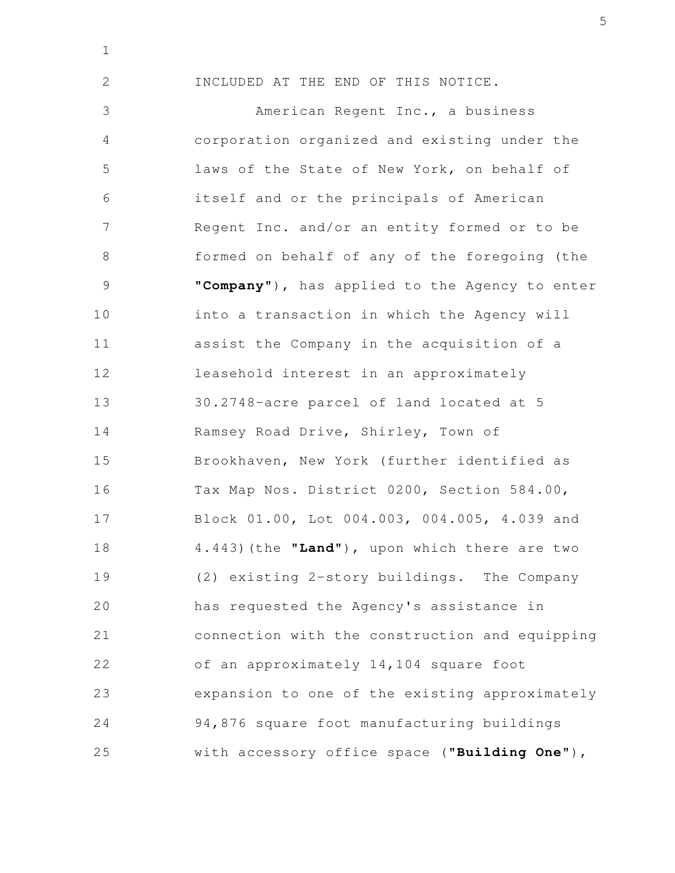1

2

INCLUDED AT THE END OF THIS NOTICE.

American Regent Inc., a business corporation organized and existing under the laws of the State of New York, on behalf of itself and or the principals of American Regent Inc. and/or an entity formed or to be formed on behalf of any of the foregoing (the "**Company**"), has applied to the Agency to enter into a transaction in which the Agency will assist the Company in the acquisition of a leasehold interest in an approximately 30.2748-acre parcel of land located at 5 Ramsey Road Drive, Shirley, Town of Brookhaven, New York (further identified as Tax Map Nos. District 0200, Section 584.00, Block 01.00, Lot 004.003, 004.005, 4.039 and 4.443)(the "**Land**"), upon which there are two (2) existing 2-story buildings. The Company has requested the Agency's assistance in connection with the construction and equipping of an approximately 14,104 square foot expansion to one of the existing approximately 94,876 square foot manufacturing buildings with accessory office space ("**Building One**"), 3 4 5 6 7 8 9 10 11 12 13 14 15 16 17 18 19 20 21 22 23 24 25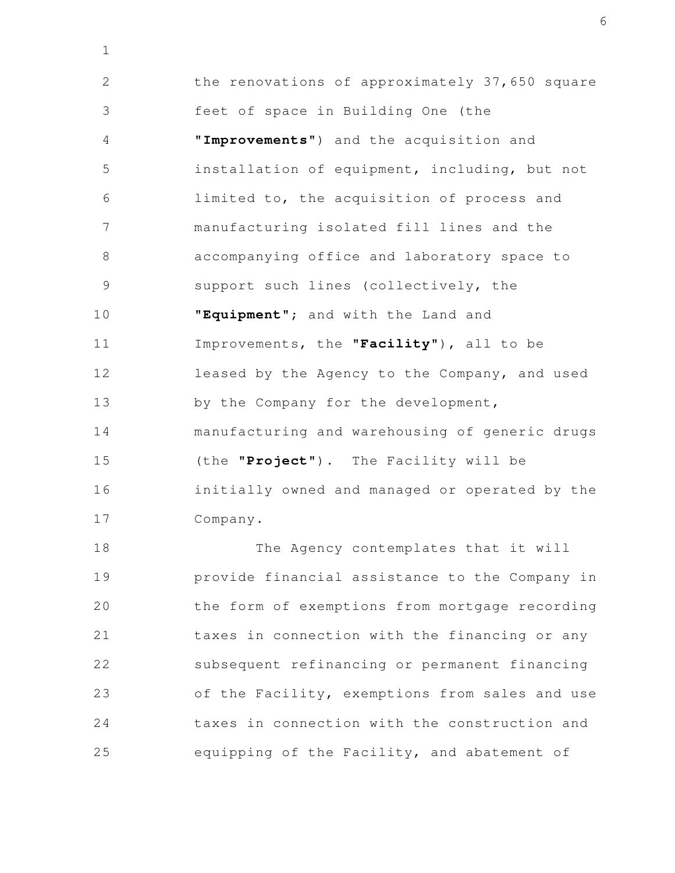the renovations of approximately 37,650 square feet of space in Building One (the "**Improvements**") and the acquisition and installation of equipment, including, but not limited to, the acquisition of process and manufacturing isolated fill lines and the accompanying office and laboratory space to support such lines (collectively, the "**Equipment**"; and with the Land and Improvements, the "**Facility**"), all to be leased by the Agency to the Company, and used by the Company for the development, manufacturing and warehousing of generic drugs (the "**Project**"). The Facility will be initially owned and managed or operated by the Company. 2 3 4 5 6 7 8 9 10 11 12 13 14 15 16 17

1

The Agency contemplates that it will provide financial assistance to the Company in the form of exemptions from mortgage recording taxes in connection with the financing or any subsequent refinancing or permanent financing of the Facility, exemptions from sales and use taxes in connection with the construction and equipping of the Facility, and abatement of 18 19 20 21 22 23 24 25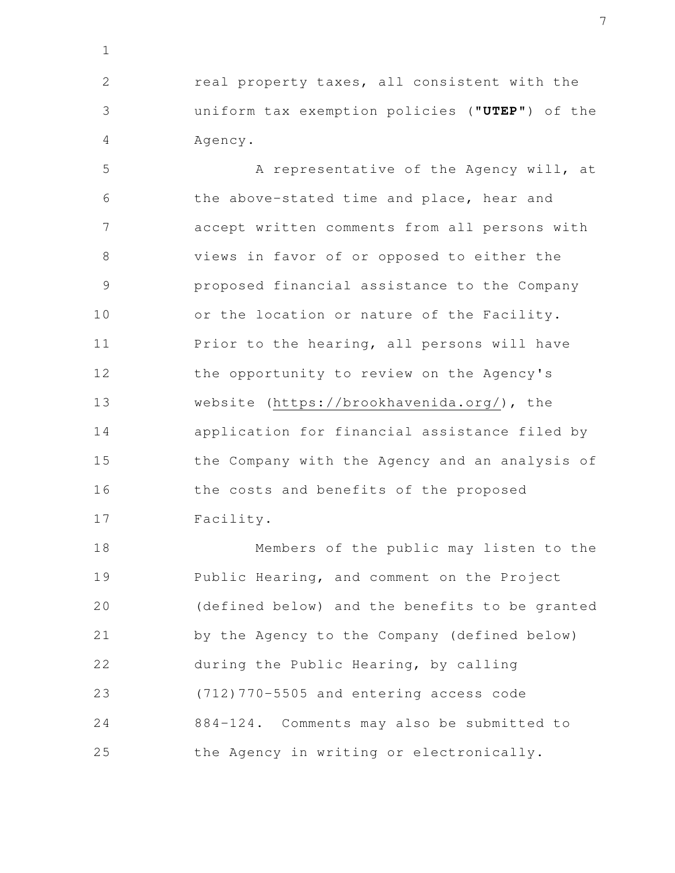real property taxes, all consistent with the uniform tax exemption policies ("**UTEP**") of the Agency. 2 3 4

1

A representative of the Agency will, at the above-stated time and place, hear and accept written comments from all persons with views in favor of or opposed to either the proposed financial assistance to the Company or the location or nature of the Facility. Prior to the hearing, all persons will have the opportunity to review on the Agency's website (https://brookhavenida.org/), the application for financial assistance filed by the Company with the Agency and an analysis of the costs and benefits of the proposed Facility. 5 6 7 8 9 10 11 12 13 14 15 16 17

Members of the public may listen to the Public Hearing, and comment on the Project (defined below) and the benefits to be granted by the Agency to the Company (defined below) during the Public Hearing, by calling (712)770-5505 and entering access code 884-124. Comments may also be submitted to the Agency in writing or electronically. 18 19 20 21 22 23 24 25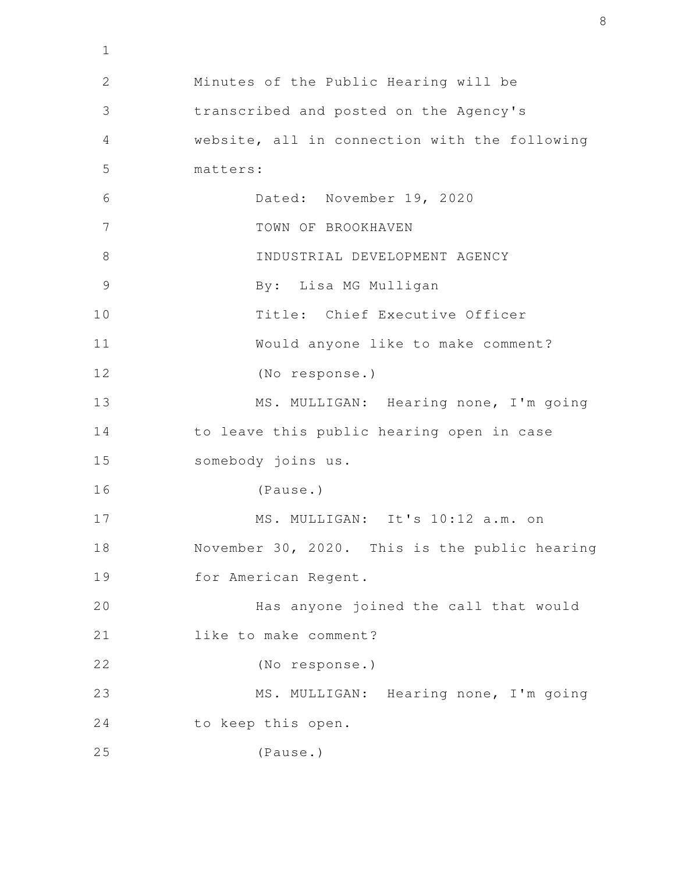Minutes of the Public Hearing will be transcribed and posted on the Agency's website, all in connection with the following matters: Dated: November 19, 2020 TOWN OF BROOKHAVEN INDUSTRIAL DEVELOPMENT AGENCY By: Lisa MG Mulligan Title: Chief Executive Officer Would anyone like to make comment? (No response.) MS. MULLIGAN: Hearing none, I'm going to leave this public hearing open in case somebody joins us. (Pause.) MS. MULLIGAN: It's 10:12 a.m. on November 30, 2020. This is the public hearing for American Regent. Has anyone joined the call that would like to make comment? (No response.) MS. MULLIGAN: Hearing none, I'm going to keep this open. (Pause.) 1 2 3 4 5 6 7 8 9 10 11 12 13 14 15 16 17 18 19 20 21 22 23 24 25